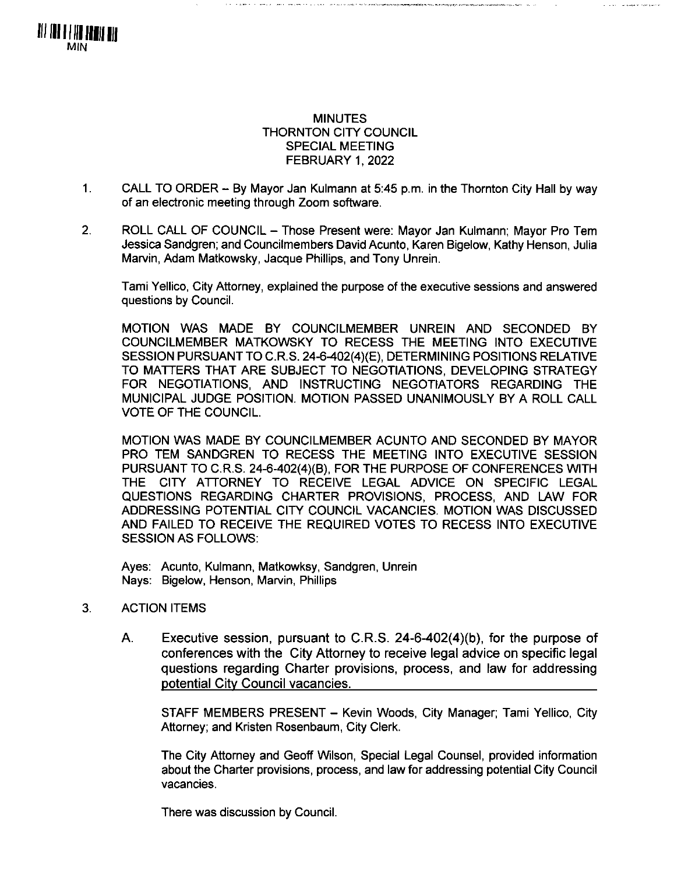

**Contract Construction Community** 

- 1. CALL TO ORDER  $-$  By Mayor Jan Kulmann at 5:45 p.m. in the Thornton City Hall by way of an electronic meeting through Zoom software.
- 2. ROLL CALL OF COUNCIL Those Present were: Mayor Jan Kulmann; Mayor Pro Tem Jessica Sandgren; and Councilmembers David Acunto, Karen Bigelow, Kathy Henson, Julia Marvin, Adam Matkowsky, Jacque Phillips, and Tony Unrein.

Tami Yellico, City Attorney, explained the purpose of the executive sessions and answered questions by Council.

MOTION WAS MADE BY COUNCILMEMBER UNREIN AND SECONDED BY COUNCILMEMBER MATKOWSKY TO RECESS THE MEETING INTO EXECUTIVE SESSION PURSUANT TO C.R.S. 24-6-402(4)(E), DETERMINING POSITIONS RELATIVE TO MATTERS THAT ARE SUBJECT TO NEGOTIATIONS, DEVELOPING STRATEGY FOR NEGOTIATIONS, AND INSTRUCTING NEGOTIATORS REGARDING THE MUNICIPAL JUDGE POSITION. MOTION PASSED UNANIMOUSLY BY A ROLL CALL VOTE OF THE COUNCIL.

MOTION WAS MADE BY COUNCILMEMBER ACUNTO AND SECONDED BY MAYOR PRO TEM SANDGREN TO RECESS THE MEETING INTO EXECUTIVE SESSION PURSUANT TO C.R.S. 24-6-402(4)(B), FOR THE PURPOSE OF CONFERENCES WITH THE CITY ATTORNEY TO RECEIVE LEGAL ADVICE ON SPECIFIC LEGAL QUESTIONS REGARDING CHARTER PROVISIONS, PROCESS, AND LAW FOR ADDRESSING POTENTIAL CITY COUNCIL VACANCIES. MOTION WAS DISCUSSED AND FAILED TO RECEIVE THE REQUIRED VOTES TO RECESS INTO EXECUTIVE SESSION AS FOLLOWS:

Ayes: Acunto, Kulmann, Matkowksy, Sandgren, Unrein Nays: Bigelow, Henson, Marvin, Phillips

## 3. ACTION ITEMS

Ill III <sup>11</sup> III Hill III MIN

> A. Executive session, pursuant to C.R.S. 24-6-402(4)(b), for the purpose of conferences with the City Attorney to receive legal advice on specific legal questions regarding Charter provisions, process, and law for addressing potential City Council vacancies.

STAFF MEMBERS PRESENT - Kevin Woods, City Manager; Tami Yellico, City Attorney; and Kristen Rosenbaum, City Clerk.

The City Attorney and Geoff Wilson, Special Legal Counsel, provided information about the Charter provisions, process, and law for addressing potential City Council vacancies.

There was discussion by Council.